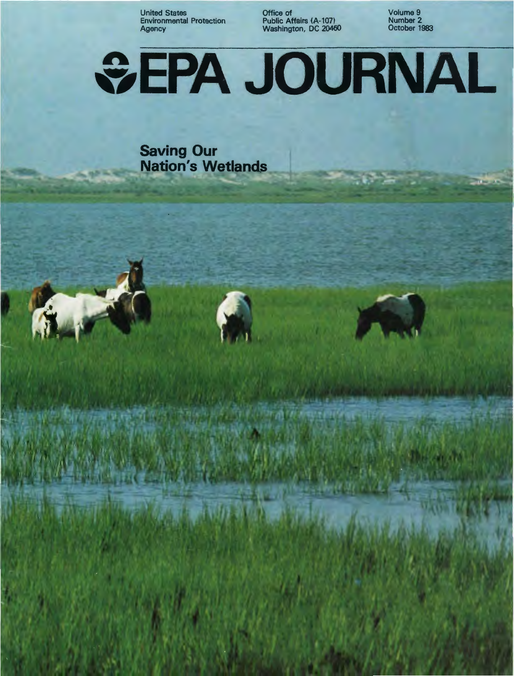United States Environmental Protection **Agency** 

Office of Public Affairs (A-107) Washington, DC 20460 Volume 9 Number 2 October 1983

**TOWAN** 

# **&EPA JOURNAL**

**Saving Our Nation's Wetlands** 

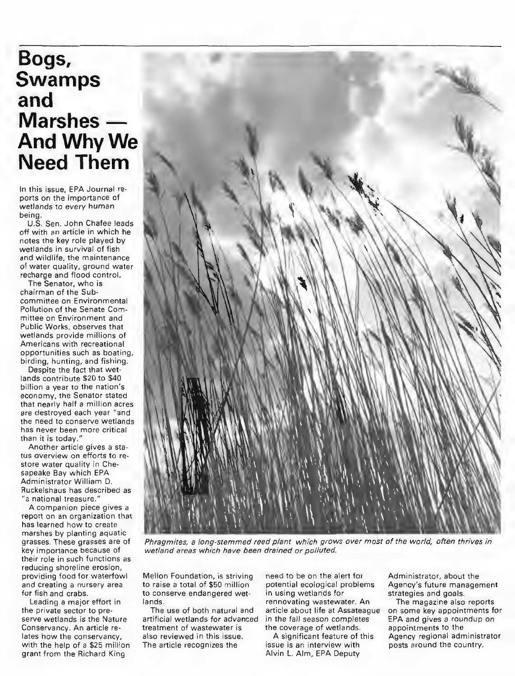#### **Bogs, Swamps and Marshes And Why We Need Them**

In this issue, EPA Journal reports on the importance of wetlands to every human being.

U.S. Sen. John Chafee leads off with an article in which he notes the key role played by wetlands in survival of fish and wildlife, the maintenance of water quality, ground water recharge and flood control.

The Senator, who is chairman of the Subcommittee on Environmental Pollution of the Senate Committee on Environment and Public Works, observes that wetlands provide millions of Americans with recreational opportunities such as boating, birding, hunting, and fishing.

Despite the fact that wetlands contribute \$20 to \$40 billion a year to the nation's economy, the Senator stated that nearly half a million acres are destroyed each year "and the need to conserve wetlands has never been more critical than it is today."

Another article gives a status overview on efforts to restore water quality in Chesapeake Bay which EPA Administrator William D. Ruckelshaus has described as "a national treasure."

A companion piece gives a report on an organization that has learned how to create marshes by planting aquatic grasses. These grasses are of key importance because of their role in such functions as reducing shoreline erosion, providing food for waterfowl and creating a nursery area for fish and crabs.

Leading a major effort in the private sector to preserve wetlands is the Nature Conservancy. An article relates how the conservancy, with the help of a \$25 million grant from the Richard King



Phragmites, a long-stemmed reed plant which grows over most of the world, often thrives in wetland areas which have been drained or polluted.

Mellon Foundation, is striving to raise a total of \$50 million to conserve endangered wetlands.

The use of both natural and artificial wetlands for advanced treatment of wastewater is also reviewed in this issue. The article recognizes the

need to be on the alert for potential ecological problems in using wetlands for rennovating wastewater. An article about life at Assateague in the fall season completes the coverage of wetlands.

A significant feature of this issue is an interview with Alvin L. Alm, EPA Deputy

Administrator, about the Agency's future management strategies and goals.

The magazine also reports on some key appointments for EPA and gives a roundup on appointments to the Agency regional administrator posts around the country.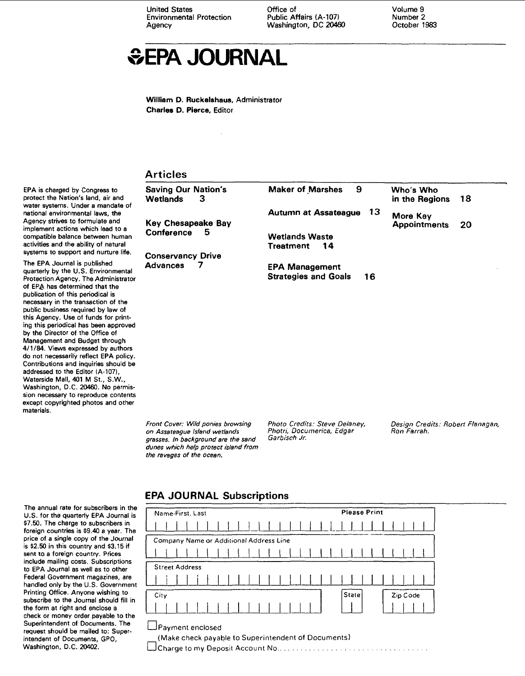United States Environmental Protection **Agency** 

Office of Public Affairs (A-107) Washington, DC 20460

**Maker of Marshes 9** 

**Wetlands Waste Treatment 14** 

**EPA Management** 

**Autumn at Assateague 13** 

**Strategies and Goals 16** 

Volume 9 Number 2 October 1983

**Who's Who in the Regions** 

**18** 

**20** 

**More Key Appointments** 



**William D. Ruckelahaus,** Administrator **Charles D. Pierce,** Editor

#### **Articles**

**Saving Our Nation's Wetlands 3** 

**Key Chesapeake Bay Conference 5** 

**Conservancy Drive Advances 7** 

EPA is charged by Congress to protect the Nation's land, air and water systems. Under a mandate of national environmental laws, the Agency strives to formulate and implement actions which lead to a compatible balance between human activities and the ability of natural systems to support and nurture life.

The EPA Journal is published quarterly by the U.S. Environmental Protection Agency. The Administrator of EPA has determined that the publication of this periodical is necessary in the transaction of the public business required by law of this Agency. Use of funds for printing this periodical has been approved by the Director of the Office of Management and Budget through 4/1/84. Views expressed by authors do not necessarily reflect EPA policy. Contributions and inquiries should be addressed to the Editor (A-107), Waterside Mall, 401 M St., S.W., Washington, D.C. 20460. No permission necessary to reproduce contents except copyrighted photos and other materials.

> Front Cover: Wild ponies browsing on Assateague Island wetlands grasses. In background are the sand dunes which help protect island from the ravages of the ocean.

Photo Credits: Steve Delaney, Photri, Documerica, Edgar Garbisch Jr.

Design Credits: Robert Flanagan, Ron Farrah.

The annual rate for subscribers in the U.S. for the quarterly EPA Journal is \$7.50. The charge to subscribers in foreign countries is \$9.40 a year. The price of *a* single copy of the Journal is \$2.50 in this country and \$3. 15 if sent to a foreign country. Prices include mailing costs. Subscriptions to EPA Journal as well as to other Federal Government magazines, are handled only by the U.S. Government Printing Office. Anyone wishing to subscribe to the Journal should fill in the form at right and enclose a check or money order payable to the Superintendent of Documents. The request should be mailed to: Superintendent of Documents, GPO, Washington, D.C. 20402.

#### **EPA JOURNAL Subscriptions**

| Name-First, Last                                                        | <b>Please Print</b> |
|-------------------------------------------------------------------------|---------------------|
|                                                                         |                     |
| Company Name or Additional Address Line                                 |                     |
|                                                                         |                     |
| <b>Street Address</b>                                                   |                     |
|                                                                         |                     |
| City                                                                    | State<br>Zip Code   |
|                                                                         |                     |
| Payment enclosed<br>(Make check payable to Superintendent of Documents) |                     |

Dcharge to my Deposit Account No ................. .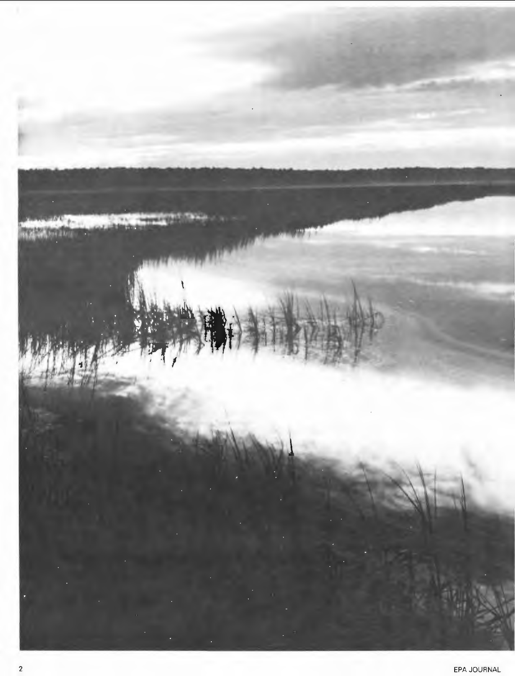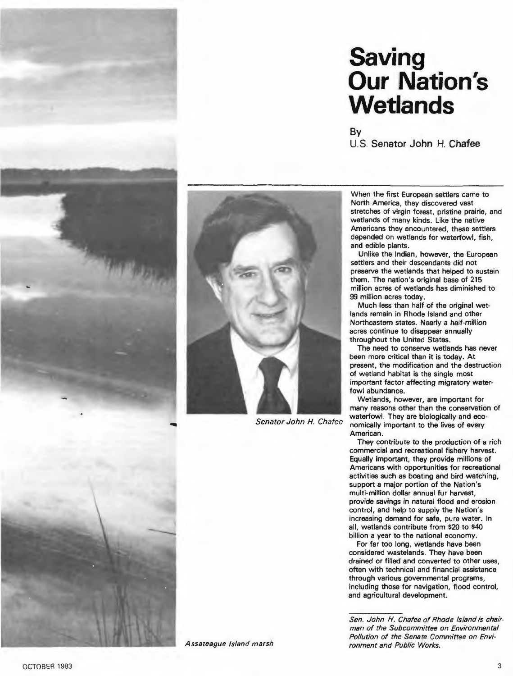

By U.S. Senator John H. Chafee

When the first European settlers came to North America, they discovered vast stretches of virgin forest, pristine prairie, and wetlands of many kinds. Like the native Americans they encountered, these settlers depended on wetlands for waterfowl, fish, and edible plants.

Unlike the Indian, however, the European settlers and their descendants did not preserve the wetlands that helped to sustain them. The nation's original base of 215 million acres of wetlands has diminished to 99 million acres today.

Much less than half of the original wetlands remain in Rhode Island and other Northeastern states. Nearly a half-million acres continue to disappear annually throughout the United States.

The need to conserve wetlands has never been more critical than it is today. At present, the modification and the destruction of wetland habitat is the single most important factor affecting migratory waterfowl abundance.

Wetlands, however, are important for many reasons other than the conservation of waterfowl. They are biologically and economically important to the lives of every American.

They contribute to the production of a rich commercial and recreational fishery harvest. Equally important, they provide millions of Americans with opportunities for recreational activities such as boating and bird watching, support a major portion of the Nation's multi-million dollar annual fur harvest, provide savings in natural flood and erosion control, and help to supply the Nation's increasing demand for safe, pure water. In all, wetlands contribute from \$20 to \$40 billion a year to the national economy.

For far too long, wetlands have been considered wastelands. They have been drained or filled and converted to other uses, often with technical and financial assistance through various governmental programs, including those for navigation, flood control, and agricultural development.

Sen. John H. Chafee of Rhode Island is chairman of the Subcommittee on Environmental Pollution of the Senate Committee on Environment and Public Works.



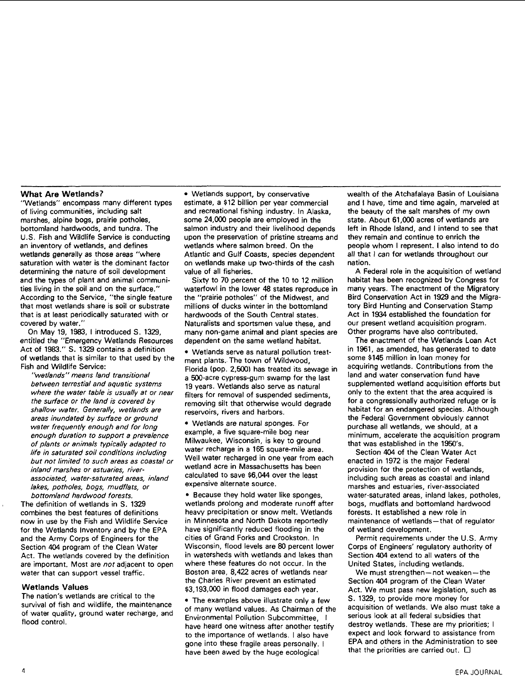#### **What Are Wetlands 7**

"Wetlands" encompass many different types of living communities, including salt marshes, alpine bogs, prairie potholes, bottomland hardwoods, and tundra. The U.S. Fish and Wildlife Service is conducting an inventory of wetlands, and defines wetlands generally as those areas "where saturation with water is the dominant factor determining the nature of soil development and the types of plant and animal communities living in the soil and on the surface." According to the Service, "the single feature that most wetlands share is soil or substrate that is at least periodically saturated with or covered by water."

On May 19, 1983, I introduced S. 1329, entitled the "Emergency Wetlands Resources Act of 1983." S. 1329 contains a definition of wetlands that is similar to that used by the Fish and Wildlife Service:

"wetlands" means land transitional between terrestial and aquatic systems where the water table is usually at or near the surface or the land is covered by shallow water. Generally, wetlands are areas inundated by surface or ground water frequently enough and for long enough duration to support a prevalence of plants or animals typically adapted to life in saturated soil conditions including but not limited to such areas as coastal or inland marshes or estuaries, riverassociated, water-saturated areas, inland lakes, potholes, bogs, mudflats, or bottom/and hardwood forests.

The definition of wetlands in S. 1329 combines the best features of definitions now in use by the Fish and Wildlife Service for the Wetlands Inventory and by the EPA and the Army Corps of Engineers for the Section 404 program of the Clean Water Act. The wetlands covered by the definition are important. Most are not adjacent to open water that can support vessel traffic.

#### **Wetlands Values**

The nation's wetlands are critical to the survival of fish and wildlife, the maintenance of water quality, ground water recharge, and flood control.

• Wetlands support, by conservative estimate, a \$12 billion per year commercial and recreational fishing industry. In Alaska, some 24,000 people are employed in the salmon industry and their livelihood depends upon the preservation of pristine streams and wetlands where salmon breed. On the Atlantic and Gulf Coasts, species dependent on wetlands make up two-thirds of the cash value of all fisheries.

Sixty to 70 percent of the 10 to 12 million waterfowl in the lower 48 states reproduce in the "prairie potholes" of the Midwest, and millions of ducks winter in the bottomland hardwoods of the South Central states. Naturalists and sportsmen value these, and many non-game animal and plant species are dependent on the same wetland habitat.

• Wetlands serve as natural pollution treatment plants. The town of Wildwood, Florida (pop. 2,500) has treated its sewage in a 500-acre cypress-gum swamp for the last 19 years. Wetlands also serve as natural filters for removal of suspended sediments. removing silt that otherwise would degrade reservoirs, rivers and harbors.

• Wetlands are natural sponges. For example, a five square-mile bog near Milwaukee, Wisconsin, is key to ground water recharge in a 165 square-mile area. Well water recharged in one year from each wetland acre in Massachusetts has been calculated to save \$6,044 over the least expensive alternate source.

• Because they hold water like sponges, wetlands prolong and moderate runoff after heavy precipitation or snow melt. Wetlands in Minnesota and North Dakota reportedly have significantly reduced flooding in the cities of Grand Forks and Crookston. In Wisconsin, flood levels are 80 percent lower in watersheds with wetlands and lakes than where these features do not occur. In the Boston area, 8,422 acres of wetlands near the Charles River prevent an estimated \$3, 193,000 in flood damages each year.

• The examples above illustrate only a few of many wetland values. As Chairman of the Environmental Pollution Subcommittee, I have heard one witness after another testify to the importance of wetlands. I also have gone into these fragile areas personally. I have been awed by the huge ecological

wealth of the Atchafalaya Basin of Louisiana and I have, time and time again, marveled at the beauty of the salt marshes of my own state. About 61,000 acres of wetlands are left in Rhode Island, and I intend to see that they remain and continue to enrich the people whom I represent. I also intend to do all that I can for wetlands throughout our nation.

A Federal role in the acquisition of wetland habitat has been recognized by Congress for many years. The enactment of the Migratory Bird Conservation Act in 1929 and the Migratory Bird Hunting and Conservation Stamp Act in 1934 established the foundation for our present wetland acquisition program. Other programs have also contributed.

The enactment of the Wetlands Loan Act in 1961, as amended, has generated to date some \$145 million in loan money for acquiring wetlands. Contributions from the land and water conservation fund have supplemented wetland acquisition efforts but only to the extent that the area acquired is for a congressionally authorized refuge or is habitat for an endangered species. Although the Federal Government obviously cannot purchase all wetlands, we should, at a minimum, accelerate the acquisition program that was established in the 1950's.

Section 404 of the Clean Water Act enacted in 1972 is the major Federal provision for the protection of wetlands, including such areas as coastal and inland marshes and estuaries, river-associated water-saturated areas, inland lakes, potholes, bogs, mudflats and bottomland hardwood forests. It established a new role in maintenance of wetlands-that of regulator of wetland development.

Permit requirements under the U.S. Army Corps of Engineers' regulatory authority of Section 404 extend to all waters of the United States, including wetlands.

We must strengthen-not weaken-the Section 404 program of the Clean Water Act. We must pass new legislation, such as S. 1329, to provide more money for acquisition of wetlands. We also must take a serious look at all federal subsidies that destroy wetlands. These are my priorities; I expect and look forward to assistance from EPA and others in the Administration to see that the priorities are carried out.  $\square$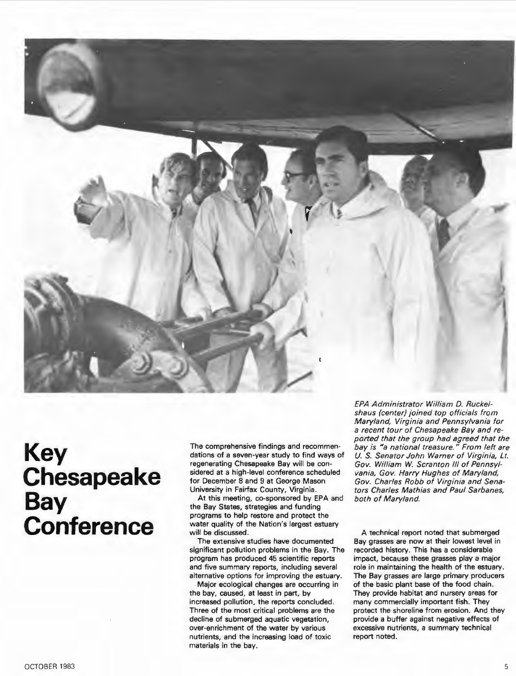

#### **Key Chesapeake Bay Conference**

The comprehensive findings and recommendations of a seven-year study to find ways of regenerating Chesapeake Bay will be considered at a high-level conference scheduled for December 8 and 9 at George Mason University in Fairfax County, Virginia.

At this meeting, co-sponsored by EPA and the Bay States, strategies and funding programs to help restore and protect the water quality of the Nation's largest estuary will be discussed.

The extensive studies have documented significant pollution problems in the Bay. The program has produced 45 scientific reports and five summary reports, including several alternative options for improving the estuary.

Major ecological changes are occurring in the bay, caused, at least in part, by increased pollution, the reports concluded. Three of the most critical problems are the decline of submerged aquatic vegetation, over-enrichment of the water by various nutrients, and the increasing load of toxic materials in the bay.

EPA Administrator William D. Ruckelshaus (center) joined top officials from Maryland, Virginia and Pennsylvania for a recent tour of Chesapeake Bay and reported that the group had agreed that the bay is "a national treasure." From left are U. S. Senator John Warner of Virginia, Lt. Gov. William *W.* Scranton Ill of Pennsylvania, Gov. Harry Hughes of Maryland, Gov. Charles Robb of Virginia and Senators Charles Mathias and Paul Sarbanes, both of Maryland.

A technical report noted that submerged Bay grasses are now at their lowest level in recorded history. This has a considerable impact, because these grasses play a major role in maintaining the health of the estuary. The Bay grasses are large primary producers of the basic plant base of the food chain. They provide habitat and nursery areas for many commercially important fish. They protect the shoreline from erosion. And they provide a buffer against negative effects of excessive nutrients, a summary technical report noted.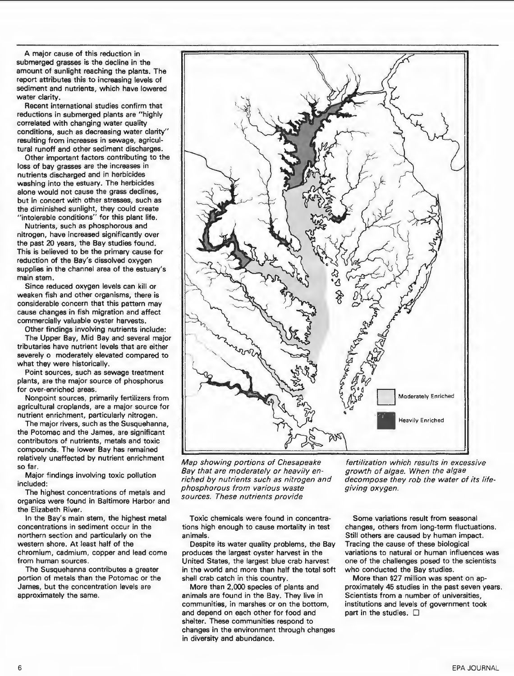A major cause of this reduction in submerged grasses is the decline in the amount of sunlight reaching the plants. The report attributes this to increasing levels of sediment and nutrients, which have lowered water clarity.

Recent international studies confirm that reductions in submerged plants are "highly correlated with changing water quality conditions, such as decreasing water clarity" resulting from increases in sewage, agricultural runoff and other sediment discharges.

Other important factors contributing to the loss of bay grasses are the increases in nutrients discharged and in herbicides washing into the estuary. The herbicides alone would not cause the grass declines, but in concert with other stresses, such as the diminished sunlight, they could create "intolerable conditions" for this plant life.

Nutrients, such as phosphorous and nitrogen, have increased significantly over the past 20 years, the Bay studies found. This is believed to be the primary cause for reduction of the Bay's dissolved oxygen supplies in the channel area of the estuary's main stem.

Since reduced oxygen levels can kill or weaken fish and other organisms, there is considerable concern that this pattern may cause changes in fish migration and affect commercially valuable oyster harvests.

Other findings involving nutrients include:

The Upper Bay, Mid Bay and several major tributaries have nutrient levels that are either severely o moderately elevated compared to what they were historically.

Point sources, such as sewage treatment plants, are the major source of phosphorus for over-enriched areas.

Nonpoint sources, primarily fertilizers from agricultural croplands, are a major source for nutrient enrichment, particularly nitrogen.

The major rivers, such as the Susquehanna, the Potomac and the James, are significant contributors of nutrients, metals and toxic compounds. The lower Bay has remained relatively unaffected by nutrient enrichment so far.

Major findings involving toxic pollution included:

The highest concentrations of metals and organics were found in Baltimore Harbor and the Elizabeth River.

In the Bay's main stem, the highest metal concentrations in sediment occur in the northern section and particularly on the western shore. At least half of the chromium, cadmium, copper and lead come from human sources.

The Susquehanna contributes a greater portion of metals than the Potomac or the James, but the concentration levels are approximately the same.



Map showing portions of Chesapeake Bay that are moderately or heavily enriched by nutrients such as nitrogen and phosphorous from various waste sources. These nutrients provide

Toxic chemicals were found in concentrations high enough to cause mortality in test animals.

Despite its water quality problems, the Bay produces the largest oyster harvest in the United States, the largest blue crab harvest in the world and more than half the total soft shell crab catch in this country.

More than 2,000 species of plants and animals are found in the Bay. They live in communities, in marshes or on the bottom, and depend on each other tor food and shelter. These communities respond to changes in the environment through changes in diversity and abundance.

fertilization which results in excessive growth of algae. When the algae decompose they rob the water of its lifegiving oxygen.

Some variations result from seasonal changes, others from long-term fluctuations. Still others are caused by human impact. Tracing the cause of these biological variations to natural or human influences was one of the challenges posed to the scientists who conducted the Bay studies.

More than \$27 million was spent on approximately 45 studies in the past seven years. Scientists from a number of universities, institutions and levels of government took part in the studies.  $\square$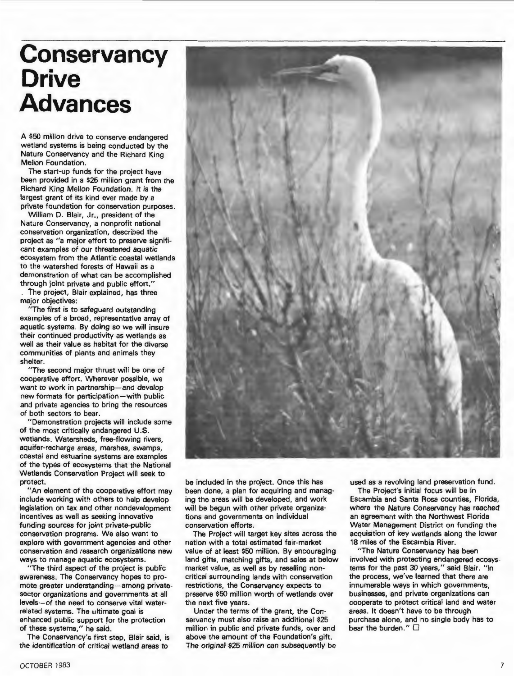### **Conservancy Drive Advances**

A \$50 million drive to conserve endangered wetland systems is being conducted by the Nature Conservancy and the Richard King Mellon Foundation.

The start-up funds for the project have been provided in a \$25 million grant from the Richard King Mellon Foundation. It is the largest grant of its kind ever made by a private foundation for conservation purposes.

William D. Blair, Jr., president of the Nature Conservancy, a nonprofit national conservation organization, described the project as "a major effort to preserve significant examples of our threatened aquatic ecosystem from the Atlantic coastal wetlands to the watershed forests of Hawaii as a demonstration of what can be accomplished through joint private and public effort."

The project, Blair explained, has three major objectives:

"The first is to safeguard outstanding examples of a broad, representative array of aquatic systems. By doing so we will insure their continued productivity as wetlands as well as their value as habitat for the diverse communities of plants and animals they shelter.

"The second major thrust will be one of cooperative effort. Wherever possible, we want to work in partnership-and develop new formats for participation-with public and private agencies to bring the resources of both sectors to bear.

"Demonstration projects will include some of the most critically endangered U.S. wetlands. Watersheds, free-flowing rivers, aquifer-recharge areas, marshes, swamps, coastal and estuarine systems are examples of the types of ecosystems that the National Wetlands Conservation Project will seek to protect.

"An element of the cooperative effort may include working with others to help develop legislation on tax and other nondevelopment incentives as well as seeking innovative funding sources for joint private-public conservation programs. We also want to explore with government agencies and other conservation and research organizations new ways to manage aquatic ecosystems.

The third aspect of the project is public awareness. The Conservancy hopes to promote greater understanding-among privatesector organizations and governments at all levels-of the need to conserve vital waterrelated systems. The ultimate goal is enhanced public support for the protection of these systems," he said.

The Conservancy's first step, Blair said, is the identification of critical wetland areas to

be included in the project. Once this has been done, a plan for acquiring and managing the areas will be developed, and work will be begun with other private organizations and governments on individual conservation efforts.

The Project will target key sites across the nation with a total estimated fair-market value of at least \$50 million. By encouraging land gifts, matching gifts, and sales at below market value, as well as by reselling noncritical surrounding lands with conservation restrictions, the Conservancy expects to preserve \$50 million worth of wetlands over the next five years.

Under the terms of the grant, the Conservancy must also raise an additional \$25 million in public and private funds, over and above the amount of the Foundation's gift. The original \$25 million can subsequently be used as a revolving land preservation fund.

The Project's initial focus will be in Escambia and Santa Rosa counties, Florida, where the Nature Conservancy has reached an agreement with the Northwest Florida Water Management District on funding the acquisition of key wetlands along the lower 18 miles of the Escambia River.

"The Nature Conservancy has been involved with protecting endangered ecosystems for the past 30 years," said Blair. "In the process, we've learned that there are innumerable ways in which governments, businesses, and private organizations can cooperate to protect critical land and water areas. It doesn't have to be through purchase alone, and no single body has to bear the burden."  $\square$ 

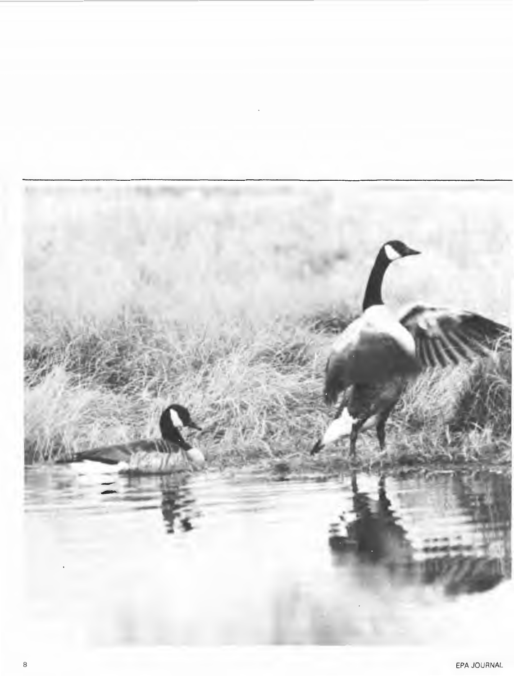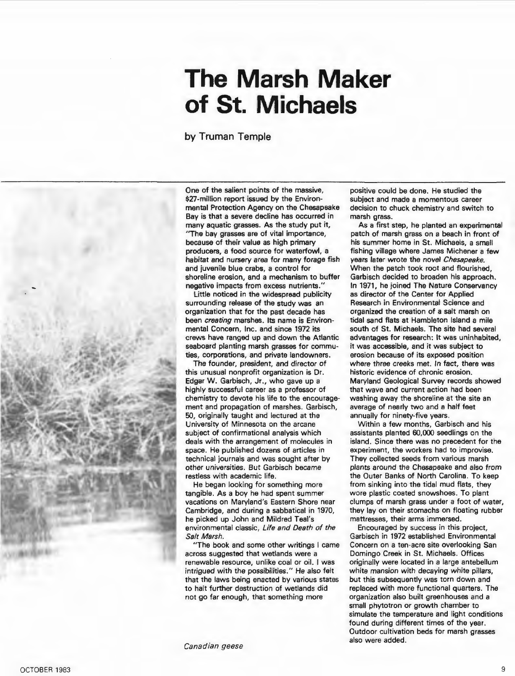### **The Marsh Maker of** St. **Michaels**

by Truman Temple

One of the salient points of the massive, \$27-million report issued by the Environmental Protection Agency on the Chesapeake Bay is that a severe decline has occurred in many aquatic grasses. As the study put it, "The bay grasses are of vital importance, because of their value as high primary producers, a food source for waterfowl, a habitat and nursery area for many forage fish and juvenile blue crabs, a control for shoreline erosion, and a mechanism to buffer negative impacts from excess nutrients."

Little noticed in the widespread publicity surrounding release of the study was an organization that for the past decade has been *creating* marshes. Its name is Environmental Concern, Inc. and since 1972 its crews have ranged up and down the Atlantic seaboard planting marsh grasses for commuties, corporations, and private landowners.

The founder, president, and director of this unusual nonprofit organization is Dr. Edgar W. Garbisch, Jr., who gave up a highly successful career as a professor of chemistry to devote his life to the encouragement and propagation of marshes. Garbisch, 50, originally taught and lectured at the University of Minnesota on the arcane subject of confirmational analysis which deals with the arrangement of molecules in space. He published dozens of articles in technical journals and was sought after by other universities. But Garbisch became restless with academic life.

He began looking for something more tangible. As a boy he had spent summer vacations on Maryland's Eastern Shore near Cambridge, and during a sabbatical in 1970, he picked up John and Mildred Teal's environmental classic, Life and Death of the Salt Marsh.

"The book and some other writings I came across suggested that wetlands were a renewable resource, unlike coal or oil. I was intrigued with the possibilities." He also felt that the laws being enacted by various states to halt further destruction of wetlands did not go far enough, that something more

positive could be done. He studied the subject and made a momentous career decision to chuck chemistry and switch to marsh grass.

As a first step, he planted an experimental patch of marsh grass on a beach in front of his summer home in St. Michaels, a small fishing village where James Michener a few years later wrote the novel Chesapeake. When the patch took root and flourished, Garbisch decided to broaden his approach. In 1971, he joined The Nature Conservancy as director of the Center for Applied Research in Environmental Science and organized the creation of a salt marsh on tidal sand flats at Hambleton Island a mile south of St. Michaels. The site had several advantages for research: It was uninhabited, it was accessible, and it was subject to erosion because of its exposed position where three creeks met. In fact, there was historic evidence of chronic erosion. Maryland Geological Survey records showed that wave and current action had been washing away the shoreline at the site an average of nearly two and a half feet annually for ninety-five years.

Within a few months, Garbisch and his assistants planted 60,000 seedlings on the island. Since there was no precedent for the experiment, the workers had to improvise. They collected seeds from various marsh plants around the Chesapeake and also from the Outer Banks of North Carolina. To keep from sinking into the tidal mud flats, they wore plastic coated snowshoes. To plant clumps of marsh grass under a foot of water, they lay on their stomachs on floating rubber mattresses, their arms immersed.

Encouraged by success in this project, Garbisch in 1972 established Environmental Concern on a ten-acre site overlooking San Domingo Creek in St. Michaels. Offices originally were located in a large antebellum white mansion with decaying white pillars, but this subsequently was torn down and replaced with more functional quarters. The organization also built greenhouses and a small phytotron or growth chamber to simulate the temperature and light conditions found during different times of the year. Outdoor cultivation beds for marsh grasses also were added.

Canadian geese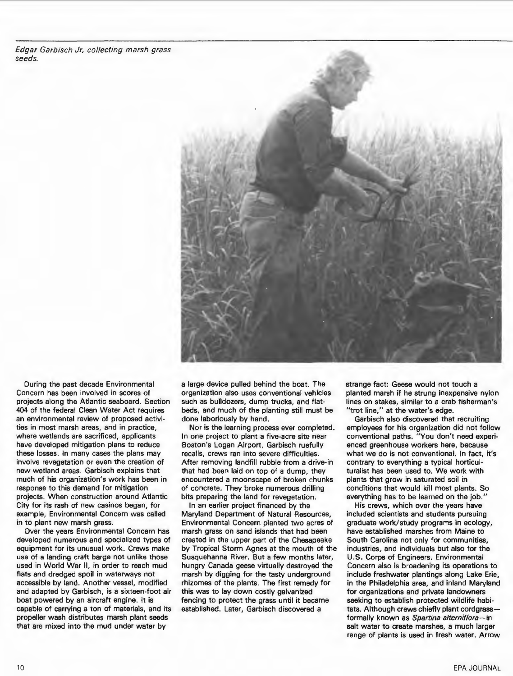Edgar Garbisch *Jr,* collecting marsh grass seeds.



During the past decade Environmental Concern has been involved in scores of projects along the Atlantic seaboard. Section 404 of the federal Clean Water Act requires an environmental review of proposed activities in most marsh areas, and in practice, where wetlands are sacrificed, applicants have developed mitigation plans to reduce these losses. In many cases the plans may involve revegetation or even the creation of new wetland areas. Garbisch explains that much of his organization's work has been in response to this demand for mitigation projects. When construction around Atlantic City for its rash of new casinos began, for example, Environmental Concern was called in to plant new marsh grass.

Over the years Environmental Concern has developed numerous and specialized types of equipment for its unusual work. Crews make use of a landing craft barge not unlike those used in World War II, in order to reach mud flats and dredged spoil in waterways not accessible by land. Another vessel, modified and adapted by Garbisch, is a sixteen-foot air boat powered by an aircraft engine. It is capable of carrying a ton of materials, and its propeller wash distributes marsh plant seeds that are mixed into the mud under water by

a large device pulled behind the boat. The organization also uses conventional vehicles such as bulldozers, dump trucks, and flatbeds, and much of the planting still must be done laboriously by hand.

Nor is the learning process ever completed. In one project to plant a five-acre site near Boston's Logan Airport, Garbisch ruefully recalls, crews ran into severe difficulties. After removing landfill rubble from a drive-in that had been laid on top of a dump, they encountered a moonscape of broken chunks of concrete. They broke numerous drilling bits preparing the land for revegetation.

In an earlier project financed by the Maryland Department of Natural Resources, Environmental Concern planted two acres of marsh grass on sand islands that had been created in the upper part of the Chesapeake by Tropical Storm Agnes at the mouth of the Susquehanna River. But a few months later, hungry Canada geese virtually destroyed the marsh by digging for the tasty underground rhizomes of the plants. The first remedy for this was to lay down costly galvanized fencing to protect the grass until it became established. Later, Garbisch discovered a

strange fact: Geese would not touch a planted marsh if he strung inexpensive nylon lines on stakes, similar to a crab fisherman's "trot line," at the water's edge.

Garbisch also discovered that recruiting employees for his organization did not follow conventional paths. "You don't need experienced greenhouse workers here, because what we do is not conventional. In fact, it's contrary to everything a typical horticulturalist has been used to. We work with plants that grow in saturated soil in conditions that would kill most plants. So everything has to be learned on the job."

His crews, which over the years have included scientists and students pursuing graduate work/study programs in ecology, have established marshes from Maine to South Carolina not only for communities, industries, and individuals but also for the U.S. Corps of Engineers. Environmental Concern also is broadening its operations to include freshwater plantings along Lake Erie, in the Philadelphia area, and inland Maryland for organizations and private landowners seeking to establish protected wildlife habitats. Although crews chiefly plant cordgrassformally known as Spartina alterniflora-in salt water to create marshes, a much larger range of plants is used in fresh water. Arrow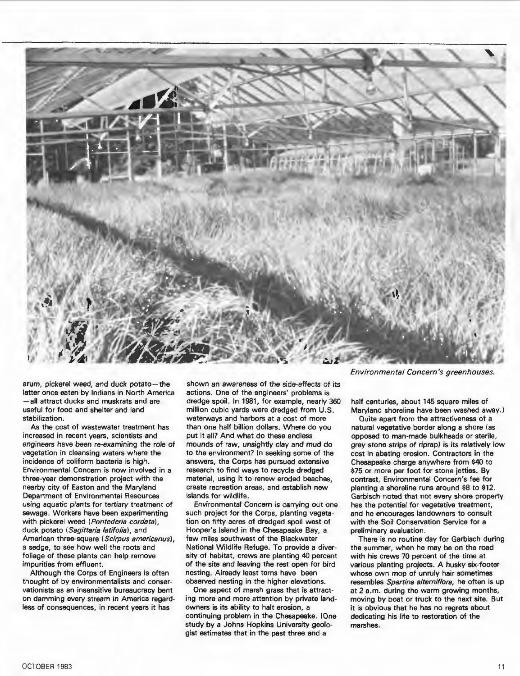

arum, pickerel weed, and duck potato-the latter once eaten by Indians in North America -all attract ducks and muskrats and are useful for food and shelter and land stabilization.

As the cost of wastewater treatment has increased in recent years, scientists and engineers have been re-examining the role of vegetation in cleansing waters where the incidence of coliform bacteria is high. Environmental Concern is now involved in a three-year demonstration project with the nearby city of Easton and the Maryland Department of Environmental Resources using aquatic plants for tertiary treatment of sewage. Workers have been experimenting with pickerel weed (Pontederia cordata), duck potato (Sagittaria latifolia), and American three-square (Scirpus americanus), a sedge, to see how well the roots and foliage of these plants can help remove impurities from effluent.

Although the Corps of Engineers is often thought of by environmentalists and conservationists as an insensitive bureaucracy bent on damming every stream in America regardless of consequences, in recent years it has

shown an awareness of the side-effects of its actions. One of the engineers' problems is dredge spoil. In 1981, for example, nearly 360 million cubic yards were dredged from U.S. waterways and harbors at a cost of more than one half billion dollars. Where do you put it all? And what do these endless mounds of raw, unsightly clay and mud do to the environment? In seeking some of the answers, the Corps has pursued extensive research to find ways to recycle dredged material, using it to renew eroded beaches, create recreation areas, and establish new islands for wildlife.

Environmental Concern is carrying out one such project for the Corps, planting vegetation on fifty acres of dredged spoil west of Hooper's Island in the Chesapeake Bay, a few miles southwest of the Blackwater National Wildlife Refuge. To provide a diversity of habitat, crews are planting 40 percent of the site and leaving the rest open for bird nesting. Already least terns have been observed nesting in the higher elevations.

One aspect of marsh grass that is attracting more and more attention by private landowners is its ability to halt erosion, a continuing problem in the Chesapeake. (One study by a Johns Hopkins University geologist estimates that in the past three and a

Environmental Concern's greenhouses.

half centuries, about 145 square miles of Maryland shoreline have been washed away.)

Quite apart from the attractiveness of a natural vegetative border along a shore (as opposed to man-made bulkheads or sterile, grey stone strips of riprapl is its relatively low cost in abating erosion. Contractors in the Chesapeake charge anywhere from \$40 to \$75 or more per foot for stone jetties. By contrast, Environmental Concern's fee for planting a shoreline runs around \$8 to \$12. Garbisch noted that not every shore property has the potential for vegetative treatment, and he encourages landowners to consult with the Soil Conservation Service for a preliminary evaluation.

There is no routine day for Garbisch during the summer, when he may be on the road with his crews 70 percent of the time at various planting projects. A husky six-footer whose own mop of unruly hair sometimes resembles Spartina alterniflora, he often is up at 2 a.m. during the warm growing months, moving by boat or truck to the next site. But it is obvious that he has no regrets about dedicating his life to restoration of the marshes.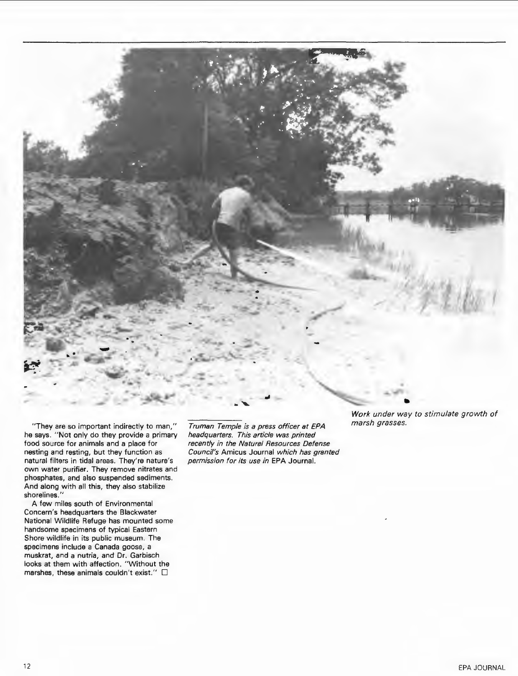

"They are so important indirectly to man," he says. "Not only do they provide a primary food source for animals and a place for nesting and resting, but they function as natural filters in tidal areas. They're nature's own water purifier. They remove nitrates and phosphates, and also suspended sediments. And along with all this, they also stabilize shorelines."

A few miles south of Environmental Concern's headquarters the Blackwater National Wildlife Refuge has mounted some handsome specimens of typical Eastern Shore wildlife in its public museum. The specimens include a Canada goose, a muskrat, and a nutria, and Dr. Garbisch looks at them with affection. "Without the marshes, these animals couldn't exist."  $\square$ 

Truman Temple is a press officer at EPA headquarters. This article was printed recently in the Natural Resources Defense Council's Amicus Journal which has granted permission for its use in EPA Journal.

Work under way to stimulate growth of marsh grasses.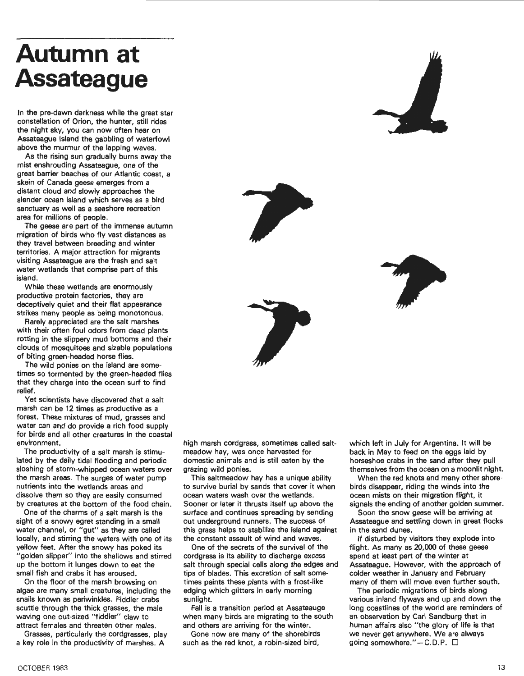### **Autumn at Assateague**

In the pre-dawn darkness while the great star constellation of Orion, the hunter, still rides the night sky, you can now often hear on Assateague Island the gabbling of waterfowl above the murmur of the lapping waves.

As the rising sun gradually bums away the mist enshrouding Assateague, one of the great barrier beaches of our Atlantic coast, a skein of Canada geese emerges from a distant cloud and slowly approaches the slender ocean island which serves as a bird sanctuary as well as a seashore recreation area for millions of people.

The geese are part of the immense autumn migration of birds who fly vast distances as they travel between breeding and winter territories. A major attraction for migrants visiting Assateague are the fresh and salt water wetlands that comprise part of this island.

While these wetlands are enormously productive protein factories, they are deceptively quiet and their flat appearance strikes many people as being monotonous.

Rarely appreciated are the salt marshes with their often foul odors from dead plants rotting in the slippery mud bottoms and their clouds of mosquitoes and sizable populations of biting green-headed horse flies.

The wild ponies on the island are sometimes so tormented by the green-headed flies that they charge into the ocean surf to find relief.

Yet scientists have discovered that a salt marsh can be 12 times as productive as a forest. These mixtures of mud, grasses and water can and do provide a rich food supply for birds and all other creatures in the coastal environment.

The productivity of a salt marsh is stimulated by the daily tidal flooding and periodic sloshing of storm-whipped ocean waters over the marsh areas. The surges of water pump nutrients into the wetlands areas and dissolve them so they are easily consumed by creatures at the bottom of the food chain.

One of the charms of a salt marsh is the sight of a snowy egret standing in a small water channel, or "gut" as they are called locally, and stirring the waters with one of its yellow feet. After the snowy has poked its "golden slipper" into the shallows and stirred up the bottom it lunges down to eat the small fish and crabs it has aroused.

On the floor of the marsh browsing on algae are many small creatures, including the snails known as periwinkles. Fiddler crabs scuttle through the thick grasses, the male waving one out-sized "fiddler" claw to attract females and threaten other males.

Grasses, particularly the cordgrasses, play a key role in the productivity of marshes. A

high marsh cordgrass, sometimes called saltmeadow hay, was once harvested for domestic animals and is still eaten by the grazing wild ponies.

This saltmeadow hay has a unique ability to survive burial by sands that cover it when ocean waters wash over the wetlands. Sooner or later it thrusts itself up above the surface and continues spreading by sending out underground runners. The success of this grass helps to stabilize the island against the constant assault of wind and waves.

One of the secrets of the survival of the cordgrass is its ability to discharge excess salt through special cells along the edges and tips of blades. This excretion of salt sometimes paints these plants with a frost-like edging which glitters in early morning sunlight.

Fall is a transition period at Assateauge when many birds are migrating to the south and others are arriving for the winter.

Gone now are many of the shorebirds such as the red knot, a robin-sized bird,

which left in July for Argentina. It will be back in May to feed on the eggs laid by horseshoe crabs in the sand after they pull themselves from the ocean on a moonlit night.

When the red knots and many other shorebirds disappear, riding the winds into the ocean mists on their migration flight, it signals the ending of another golden summer.

Soon the snow geese will be arriving at Assateague and settling down in great flocks in the sand dunes.

If disturbed by visitors they explode into flight. As many as 20,000 of these geese spend at least part of the winter at Assateague. However, with the approach of colder weather in January and February many of them will move even further south.

The periodic migrations of birds along various inland flyways and up and down the long coastlines of the world are reminders of an observation by Carl Sandburg that in human affairs also "the glory of life is that we never get anywhere. We are always going somewhere." $-$ C.D.P.  $\Box$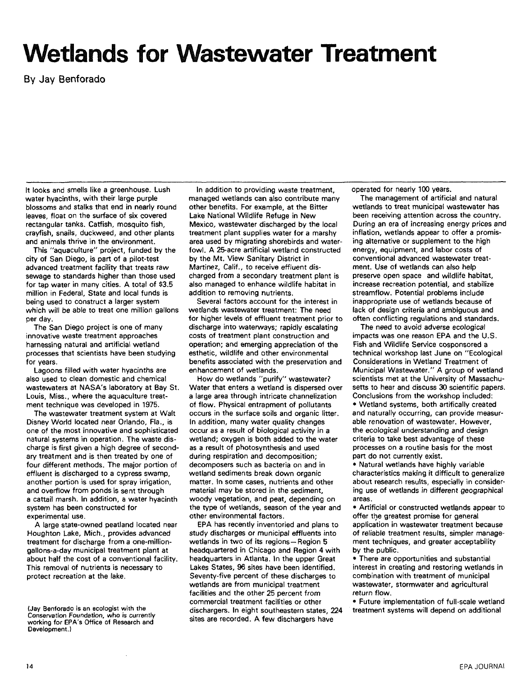# **Wetlands for Wastewater Treatment**

By Jay Benforado

It looks and smells like a greenhouse. Lush water hyacinths, with their large purple blossoms and stalks that end in nearly round leaves, float on the surface of six covered rectangular tanks. Catfish, mosquito fish, crayfish, snails, duckweed, and other plants and animals thrive in the environment.

This "aquaculture" project, funded by the city of San Diego, is part of a pilot-test advanced treatment facility that treats raw sewage to standards higher than those used for tap water in many cities. A total of \$3.5 million in Federal, State and local funds is being used to construct a larger system which will be able to treat one million gallons per day.

The San Diego project is one of many innovative waste treatment approaches harnessing natural and artificial wetland processes that scientists have been studying for years.

Lagoons filled with water hyacinths are also used to clean domestic and chemical wastewaters at NASA's laboratory at Bay St. Louis, Miss., where the aquaculture treatment technique was developed in 1975.

The wastewater treatment system at Walt Disney World located near Orlando, Fla., is one of the most innovative and sophisticated natural systems in operation. The waste discharge is first given a high degree of secondary treatment and is then treated by one of four different methods. The major portion of effluent is discharged to a cypress swamp, another portion is used for spray irrigation, and overflow from ponds is sent through a cattail marsh. In addition, a water hyacinth system has been constructed for experimental use.

A large state-owned peatland located near Houghton Lake, Mich., provides advanced treatment for discharge from a one-milliongallons-a-day municipal treatment plant at about half the cost of a conventional facility. This removal of nutrients is necessary to protect recreation at the lake.

In addition to providing waste treatment, managed wetlands can also contribute many other benefits. For example, at the Bitter Lake National Wildlife Refuge in New Mexico, wastewater discharged by the local treatment plant supplies water for a marshy area used by migrating shorebirds and waterfowl. A 25-acre artificial wetland constructed by the Mt. View Sanitary District in Martinez, Calif., to receive effluent discharged from a secondary treatment plant is also managed to enhance wildlife habitat in addition to removing nutrients.

Several factors account for the interest in wetlands wastewater treatment: The need for higher levels of effluent treatment prior to discharge into waterways; rapidly escalating costs of treatment plant construction and operation; and emerging appreciation of the esthetic, wildlife and other environmental benefits associated with the preservation and enhancement of wetlands.

How do wetlands "purify" wastewater? Water that enters a wetland is dispersed over a large area through intricate channelization of flow. Physical entrapment of pollutants occurs in the surface soils and organic litter. In addition, many water quality changes occur as a result of biological activity in a wetland; oxygen is both added to the water as a result of photosynthesis and used during respiration and decomposition; decomposers such as bacteria on and in wetland sediments break down organic matter. In some cases, nutrients and other material may be stored in the sediment, woody vegetation, and peat, depending on the type of wetlands, season of the year and other environmental factors.

EPA has recently inventoried and plans to study discharges or municipal effluents into wetlands in two of its regions-Region 5 headquartered in Chicago and Region 4 with headquarters in Atlanta. In the upper Great Lakes States, 96 sites have been identified. Seventy-five percent of these discharges to wetlands are from municipal treatment facilities and the other 25 percent from commercial treatment facilities or other dischargers. In eight southeastern states, 224 sites are recorded. A few dischargers have

operated for nearly 100 years.

The management of artificial and natural wetlands to treat municipal wastewater has been receiving attention across the country. During an era of increasing energy prices and inflation, wetlands appear to offer a promising alternative or supplement to the high energy, equipment, and labor costs of conventional advanced wastewater treatment. Use of wetlands can also help preserve open space and wildlife habitat, increase recreation potential, and stabilize streamflow. Potential problems include inappropriate use of wetlands because of lack of design criteria and ambiguous and often conflicting regulations and standards.

The need to avoid adverse ecological impacts was one reason EPA and the U.S. Fish and Wildlife Service cosponsored a technical workshop last June on "Ecological Considerations in Wetland Treatment of Municipal Wastewater." A group of wetland scientists met at the University of Massachusetts to hear and discuss 30 scientific papers. Conclusions from the workshop included:

• Wetland systems, both artifically created and naturally occurring, can provide measurable renovation of wastewater. However, the ecological understanding and design criteria to take best advantage of these processes on a routine basis for the most part do not currently exist.

• Natural wetlands have highly variable characteristics making it difficult to generalize about research results, especially in considering use of wetlands *in* different geographical areas.

• Artificial or constructed wetlands appear to offer the greatest promise for general application in wastewater treatment because of reliable treatment results, simpler management techniques, and greater acceptability by the public.

• There are opportunities and substantial interest in creating and restoring wetlands in combination with treatment of municipal wastewater, stormwater and agricultural return flow.

• Future implementation of full-scale wetland treatment systems will depend on additional

<sup>(</sup>Jay Benforado is an ecologist with the Conservation Foundation, who is currently working for EPA's Office of Research and Development.)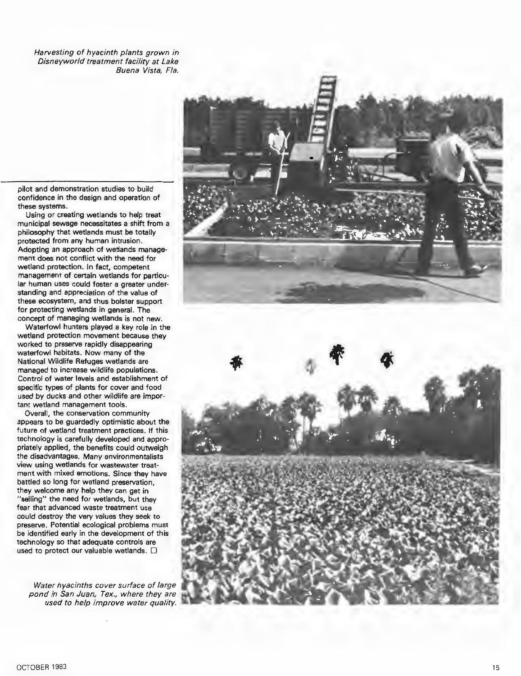Harvesting of hyacinth plants grown in Disneyworld treatment facility at Lake Buena Vista, Fla.

pilot and demonstration studies to build confidence in the design and operation of these systems.

Using or creating wetlands to help treat municipal sewage necessitates a shift from a philosophy that wetlands must be totally protected from any human intrusion. Adopting an approach of wetlands management does not conflict with the need for wetland protection. In fact, competent management of certain wetlands for particular human uses could foster a greater understanding and appreciation of the value of these ecosystem, and thus bolster support for protecting wetlands in general. The concept of managing wetlands is not new.

Waterfowl hunters played a key role in the wetland protection movement because they worked to preserve rapidly disappearing waterfowl habitats. Now many of the National Wildlife Refuges wetlands are managed to increase wildlife populations. Control of water levels and establishment of specific types of plants for cover and food used by ducks and other wildlife are impor tant wetland management tools.

Overall, the conservation community appears to be guardedly optimistic about the future of wetland treatment practices. If this technology is carefully developed and appropriately applied, the benefits could outweigh the disadvantages. Many environmentalists view using wetlands for wastewater treatment with mixed emotions. Since they have battled so long for wetland preservation, they welcome any help they can get in "selling" the need for wetlands, but they fear that advanced waste treatment use could destroy *the* very values they seek to preserve. Potential ecological prob lems must be identified early in the development of this technology so that adequate controls are used to protect our valuable wetlands.  $\square$ 

Water hyacinths cover surface of large pond in San Juan, Tex ., where they are used to help improve water quality.



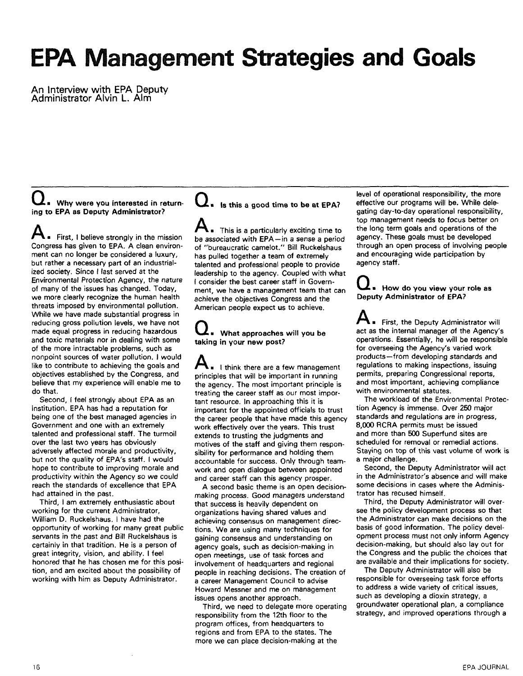# **EPA Management Strategies and Goals**

An Interview with EPA Deputy Administrator Alvin L. Alm

Why were you interested in returning to EPA as Deputy Administrator?

First, I believe strongly in the mission Congress has given to EPA. A clean environment can no longer be considered a luxury, but rather a necessary part of an industrialized society. Since I last served at the Environmental Protection Agency, the nature ot many of the issues has changed. Today, we more clearly recognize the human health threats imposed by environmental pollution. While we have made substantial progress in reducing gross pollution levels, we have not made equal progress in reducing hazardous and toxic materials nor in dealing with some of the more intractable problems, such as nonpoint sources of water pollution. I would like to contribute to achieving the goals and objectives established by the Congress, and believe that my experience will enable me to do that.

Second, I feel strongly about EPA as an institution. EPA has had a reputation for being one of the best managed agencies in Government and one with an extremely talented and professional staff. The turmoil over the last two years has obviously adversely affected morale and productivity, but not the quality of EPA's staff. I would hope to contribute to improving morale and productivity within the Agency so we could reach the standards of excellence that EPA had attained in the past.

Third, I am extremely enthusiastic about working for the current Administrator, William D. Ruckelshaus. I have had the opportunity of working for many great public servants in the past and Bill Ruckelshaus is certainly in that tradition. He is a person of great integrity, vision, and ability. I feel honored that he has chosen me for this position, and am excited about the possibility of working with him as Deputy Administrator.

**Q.** Is this a good time to be at EPA7

**A** • This is a particularly exciting time to be associated with EPA-in a sense a period of "bureaucratic camelot." Bill Ruckelshaus has pulled together a team of extremely talented and professional people to provide leadership to the agency. Coupled with what I consider the best career staff in Government, we have a management team that can achieve the objectives Congress and the American people expect us to achieve.

**• What approaches will you be** taking in your new post?

**A** • I think there are a few management principles that will be important in running the agency. The most important principle is treating the career staff as our most important resource. In approaching this it is important for the appointed officials to trust the career people that have made this agency work effectively over the years. This trust extends to trusting the judgments and motives of the staff and giving them responsibility for performance and holding them accountable for success. Only through teamwork and open dialogue between appointed and career staff can this agency prosper.

A second basic theme is an open decisionmaking process. Good managers understand that success is heavily dependent on organizations having shared values and achieving consensus on management directions. We are using many techniques for gaining consensus and understanding on agency goals, such as decision-making in open meetings, use of task forces and involvement of headquarters and regional people in reaching decisions. The creation of a career Management Council to advise Howard Messner and me on management issues opens another approach.

Third, we need to delegate more operating responsibility from the 12th floor to the program offices, from headquarters to regions and from EPA to the states. The more we can place decision-making at the

level of operational responsibility, the more effective our programs will be. While delegating day-to-day operational responsibility, top management needs to focus better *on*  the long term goals and operations of the agency. These goals must be developed through an open process of involving people and encouraging wide participation by agency staff.

**Q** • How do you view your role as Deputy Administrator of EPA?

**A** • First, the Deputy Administrator will act as the internal manager of the Agency's operations. Essentially, he will be responsible for overseeing the Agency's varied work products-from developing standards and regulations to making inspections, issuing permits, preparing Congressional reports, and most important, achieving compliance with environmental statutes.

The workload of the Environmental Protection Agency is immense. Over 250 major standards and regulations are in progress, 8,000 RCRA permits must be issued and more than 500 Superfund sites are scheduled for removal or remedial actions. Staying on top of this vast volume of work is a major challenge.

Second, the Deputy Administrator will act in the Administrator's absence and will make some decisions in cases where the Administrator has recused himself.

Third, the Deputy Administrator will oversee the policy development process so that the Administrator can make decisions on the basis of good information. The policy development process must not only inform Agency decision-making, but should also lay out for the Congress and the public the choices that are available and their implications for society.

The Deputy Administrator will also be responsible for overseeing task force efforts to address a wide variety of critical issues, such as developing a dioxin strategy, a groundwater operational plan, a compliance strategy, and improved operations through a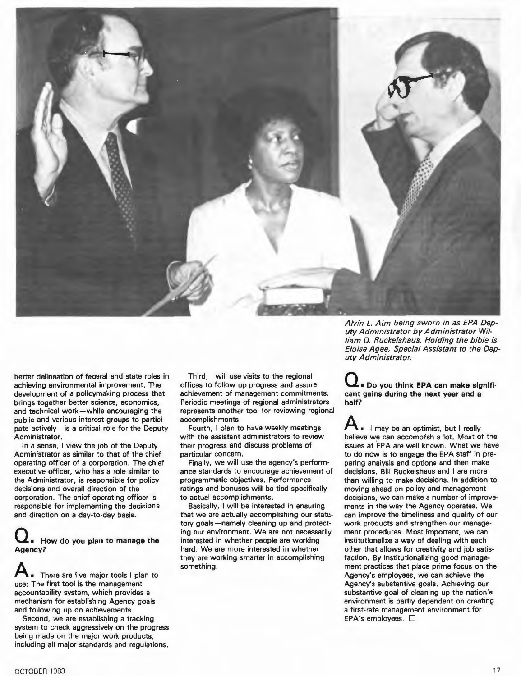

better delineation of federal and state roles in achieving environmental improvement. The development of a policymaking process that brings together better science, economics, and technical work-while encouraging the public and various interest groups to participate actively-is a critical role for the Deputy Administrator.

In a sense, I view the job of the Deputy Administrator as similar to that of the chief operating officer of a corporation. The chief executive officer, who has a role similar to the Administrator, is responsible for policy decisions and overall direction of the corporation. The chief operating officer is responsible for implementing the decisions and direction on a day-to-day basis.

• How do you plan to manage the Agency?

There are five major tools I plan to use: The first tool is the management accountability system, which provides a mechanism for establishing Agency goals and following up on achievements.

Second, we are establishing a tracking system to check aggressively on the progress being made on the major work products, including all major standards and regulations.

Third, I will use visits to the regional offices to follow up progress and assure achievement of management commitments. Periodic meetings of regional administrators represents another tool for reviewing regional accomplishments.

Fourth, I plan to have weekly meetings with the assistant administrators to review their progress and discuss problems of particular concern.

Finally, we will use the agency's performance standards to encourage achievement of programmatic objectives. Performance ratings and bonuses will be tied specifically to actual accomplishments.

Basically, I will be interested in ensuring that we are actually accomplishing our statutory goals-namely cleaning up and protecting our environment. We are not necessarily interested in whether people are working hard. We are more interested in whether they are working smarter in accomplishing something.

Alvin L. Alm being sworn in as EPA Deputy Administrator by Administrator William D. Ruckelshaus. Holding the bible is Eloise Agee, Special Assistant to the Deputy Administrator.

**■ Do you think EPA can make signifi**cant gains during the next year and a half?

**.** I may be an optimist, but I really believe we can accomplish a lot. Most of the issues at EPA are well known. What we have to do now is to engage the EPA staff in preparing analysis and options and then make decisions. Bill Ruckelshaus and I are more than willing to make decisions. In addition to moving ahead on policy and management decisions, we can make a number of improvements in the way the Agency operates. We can improve the timeliness and quality of our work products and strengthen our management procedures. Most important, we can institutionalize a way of dealing with each other that allows for creativity and job satisfaction. By institutionalizing good management practices that place prime focus on the Agency's employees, we can achieve the Agency's substantive goals. Achieving our substantive goal of cleaning up the nation's environment is partly dependent on creating a first-rate management environment for EPA's employees.  $\Box$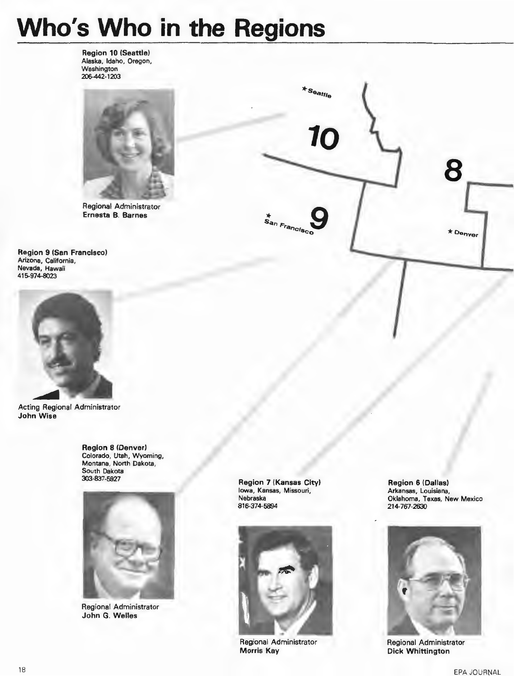# **Who's Who in the Regions**

Region 10 (Seattle) Alaska, Idaho, Oregon, Washington 206-442-1203



Regional Administrator Ernesta B. Barnes

Region 9 (San Francisco) Arizona, California, Nevada, Hawaii 415-974-8023



Acting Regional Administrator John Wise

Region 8 (Denver) Colorado, Utah, Wyoming, Montana, North Dakota, South Dakota 303-837-5927



Regional Administrator John G. Welles

Region 7 (Kansas City) Iowa, Kansas, Missouri, Nebraska 816-374-5894



Regional Administrator Morris Kay

Region 6 (Dallas) Arkansas, Louisiana, Oklahoma, Texas, New Mexico 214-767-2630



Regional Administrator Dick Whittington

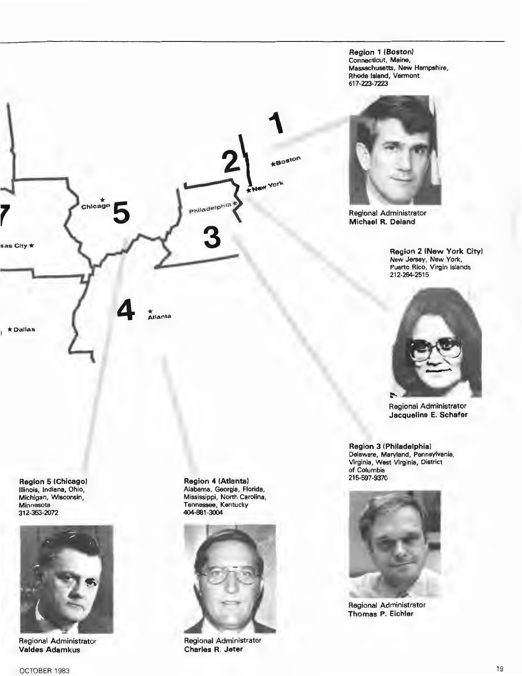**Region 1 (Boston)** Connecticut, Maine, Massachusetts, New Hampshire, Rhode Island, Vermont 617-223-7223





Regional Administrator Michael R. Deland

> Region 2 (New York City) New Jersey, New York, Puerto Rico, Virgin Islands 212-264-2515



Regional Administrator Jacqueline E. Schafer

Region 3 (Philadelphia) Delaware, Maryland, Pennsylvania, Virginia, West Virginia, District of Columbia 215-597-9370



Regional Administrator Thomas P. Eichler

Region 5 (Chicago) Illinois, Indiana, Ohio, Michigan, Wisconsin, Minnesota 312-353-2072



Regional Administrator Valdes Adamkus

Region 4 (Atlanta) Alabama, Georgia, Florida, Mississippi, North Carolina, Tennessee, Kentucky 404-881-3004



Regional Administrator Charles R. Jeter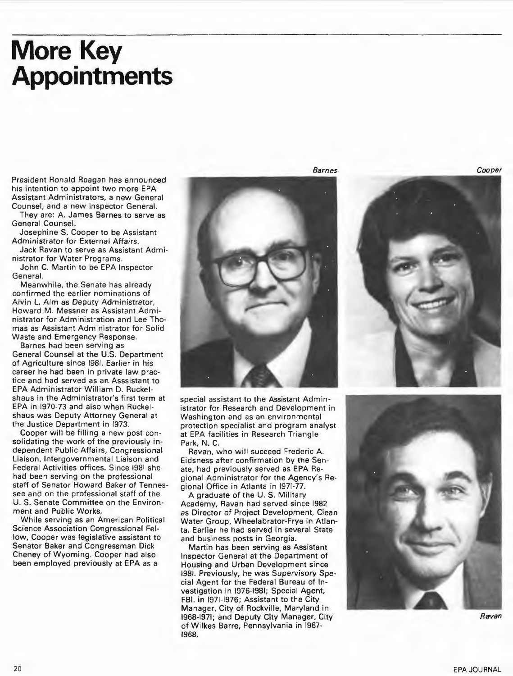### **More Key Appointments**

President Ronald Reagan has announced his intention to appoint two more EPA Assistant Administrators, a new General Counsel, and a new Inspector General.

They are: A. James Barnes to serve as General Counsel.

Josephine S. Cooper to be Assistant Administrator for External Affairs.

Jack Ravan to serve as Assistant Administrator for Water Programs.

John C. Martin to be EPA Inspector General.

Meanwhile, the Senate has already confirmed the earlier nominations of Alvin L. Alm as Deputy Administrator, Howard M. Messner as Assistant Administrator for Administration and Lee Thomas as Assistant Administrator for Solid Waste and Emergency Response.

Barnes had been serving as General Counsel at the U.S. Department of Agriculture since 1981. Earlier in his career he had been in private law practice and had served as an Asssistant to EPA Administrator William D. Ruckelshaus in the Administrator's first term at EPA in 1970-73 and also when Ruckelshaus was Deputy Attorney General at the Justice Department in 1973.

Cooper will be filling a new post consolidating the work of the previously independent Public Affairs, Congressional Liaison, Intergovernmental Liaison and Federal Activities offices. Since 1981 she had been serving on the professional staff of Senator Howard Baker of Tennessee and on the professional staff of the U. S. Senate Committee on the Environment and Public Works.

While serving as an American Political Science Association Congressional Fellow, Cooper was legislative assistant to Senator Baker and Congressman Dick Cheney of Wyoming. Cooper had also been employed previously at EPA as a



special assistant to the Assistant Administrator for Research and Development in Washington and as an environmental protection specialist and program analyst at EPA facilities in Research Triangle Park, N. C.

Ravan, who will succeed Frederic A. Eidsness after confirmation by the Senate, had previously served as EPA Regional Administrator for the Agency's Regional Office in Atlanta in 1971-77.

A graduate of the U. S. Military Academy, Ravan had served since 1982 as Director of Project Development, Clean Water Group, Wheelabrator-Frye in Atlanta. Earlier he had served in several State and business posts in Georgia.

Martin has been serving as Assistant Inspector General at the Department of Housing and Urban Development since 1981. Previously, he was Supervisory Special Agent for the Federal Bureau of Investigation in 1976-1981; Special Agent, FBI, in 1971-1976; Assistant to the City Manager, City of Rockville, Maryland in 1968-1971; and Deputy City Manager, City of Wilkes Barre, Pennsylvania in 1967- 1968.

*Barnes* 





*Ravan*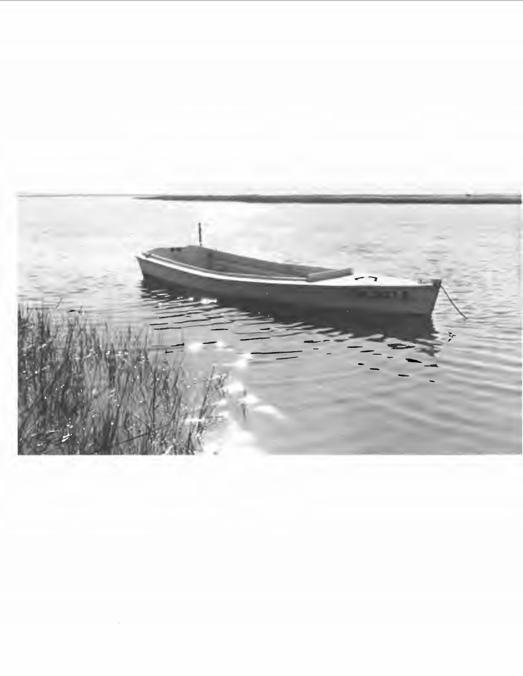